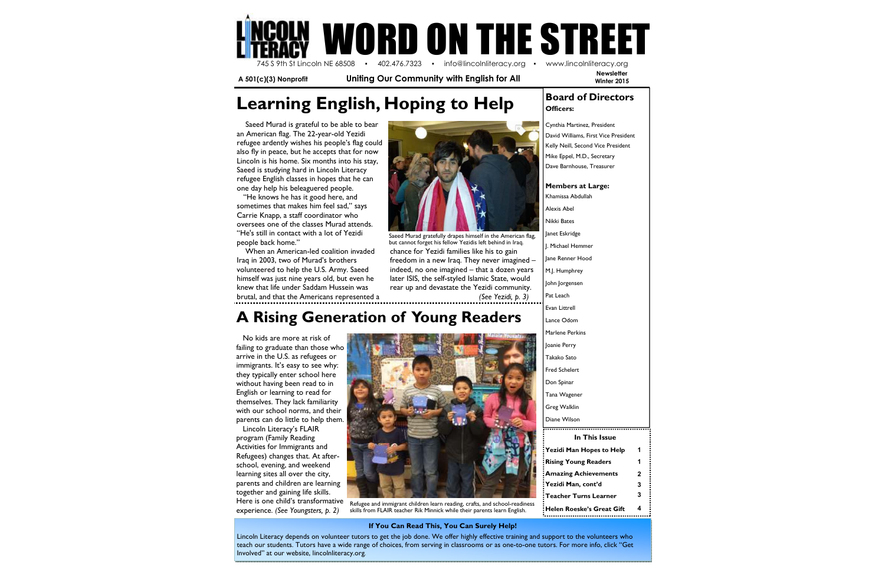**Newsletter Winter 2015** 

**Learning English, Hoping to Help Board of Directors** 

## **A Rising Generation of Young Readers**

| In This Issue               |   |
|-----------------------------|---|
| : Yezidi Man Hopes to Help  | 1 |
| Rising Young Readers!       | 1 |
| : Amazing Achievements      | 2 |
| : Yezidi Man, cont'd        | 3 |
| :Teacher Turns Learner      | 3 |
| : Helen Roeske's Great Gift | 4 |



 **A 501(c)(3) Nonprofit Uniting Our Community with English for All** 

 No kids are more at risk of failing to graduate than those who arrive in the U.S. as refugees or immigrants. It's easy to see why: they typically enter school here without having been read to in English or learning to read for themselves. They lack familiarity with our school norms, and their parents can do little to help them.

 Lincoln Literacy's FLAIR program (Family Reading Activities for Immigrants and Refugees) changes that. At afterschool, evening, and weekend learning sites all over the city, parents and children are learning together and gaining life skills. Here is one child's transformative experience. *(See Youngsters, p. 2)*

Cynthia Martinez, President David Williams, First Vice President Kelly Neill, Second Vice President Mike Eppel, M.D., Secretary Dave Barnhouse, Treasurer

#### **Members at Large:**

Khamissa Abdullah Alexis Abel Nikki Bates Janet Eskridge J. Michael Hemmer Jane Renner Hood M.J. Humphrey John Jorgensen Pat Leach Evan Littrell Lance Odom Marlene Perkins Joanie Perry Takako Sato Fred Schelert Don Spinar Tana Wagener Greg Walklin Diane Wilson

 Saeed Murad is grateful to be able to bear an American flag. The 22-year-old Yezidi refugee ardently wishes his people's flag could also fly in peace, but he accepts that for now Lincoln is his home. Six months into his stay, Saeed is studying hard in Lincoln Literacy refugee English classes in hopes that he can one day help his beleaguered people.

 "He knows he has it good here, and sometimes that makes him feel sad," says Carrie Knapp, a staff coordinator who oversees one of the classes Murad attends. "He's still in contact with a lot of Yezidi people back home."

 When an American-led coalition invaded Iraq in 2003, two of Murad's brothers volunteered to help the U.S. Army. Saeed himself was just nine years old, but even he knew that life under Saddam Hussein was brutal, and that the Americans represented a



#### **If You Can Read This, You Can Surely Help!**

chance for Yezidi families like his to gain freedom in a new Iraq. They never imagined – indeed, no one imagined – that a dozen years later ISIS, the self-styled Islamic State, would rear up and devastate the Yezidi community.  *(See Yezidi, p. 3)*Saeed Murad gratefully drapes himself in the American flag, but cannot forget his fellow Yezidis left behind in Iraq.

Lincoln Literacy depends on volunteer tutors to get the job done. We offer highly effective training and support to the volunteers who teach our students. Tutors have a wide range of choices, from serving in classrooms or as one-to-one tutors. For more info, click "Get Involved" at our website, lincolnliteracy.org.





Refugee and immigrant children learn reading, crafts, and school-readiness skills from FLAIR teacher Rik Minnick while their parents learn English.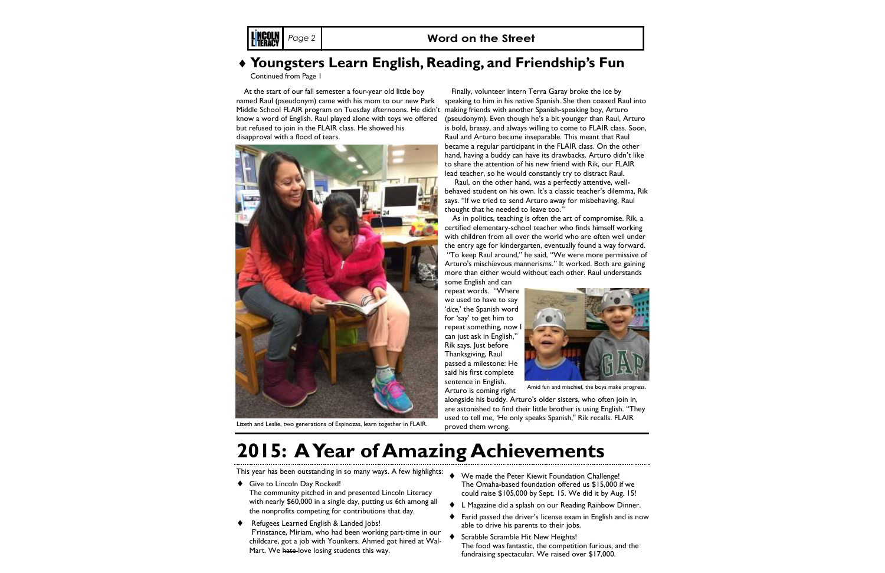#### *Page 2* **Word on the Street**

 At the start of our fall semester a four-year old little boy named Raul (pseudonym) came with his mom to our new Park Middle School FLAIR program on Tuesday afternoons. He didn't making friends with another Spanish-speaking boy, Arturo know a word of English. Raul played alone with toys we offered but refused to join in the FLAIR class. He showed his disapproval with a flood of tears.

 Finally, volunteer intern Terra Garay broke the ice by speaking to him in his native Spanish. She then coaxed Raul into (pseudonym). Even though he's a bit younger than Raul, Arturo is bold, brassy, and always willing to come to FLAIR class. Soon, Raul and Arturo became inseparable. This meant that Raul became a regular participant in the FLAIR class. On the other hand, having a buddy can have its drawbacks. Arturo didn't like to share the attention of his new friend with Rik, our FLAIR lead teacher, so he would constantly try to distract Raul.

 Raul, on the other hand, was a perfectly attentive, wellbehaved student on his own. It's a classic teacher's dilemma, Rik says. "If we tried to send Arturo away for misbehaving, Raul thought that he needed to leave too."

 As in politics, teaching is often the art of compromise. Rik, a certified elementary-school teacher who finds himself working with children from all over the world who are often well under the entry age for kindergarten, eventually found a way forward. "To keep Raul around," he said, "We were more permissive of

- ◆ Give to Lincoln Day Rocked! The community pitched in and presented Lincoln Literacy with nearly \$60,000 in a single day, putting us 6th among all the nonprofits competing for contributions that day.
- ♦ Refugees Learned English & Landed Jobs! F'rinstance, Miriam, who had been working part-time in our childcare, got a job with Younkers. Ahmed got hired at Wal-Mart. We hate-love losing students this way.
- ♦ We made the Peter Kiewit Foundation Challenge! The Omaha-based foundation offered us \$15,000 if wecould raise \$105,000 by Sept. 15. We did it by Aug. 15!
- ♦ L Magazine did a splash on our Reading Rainbow Dinner.
- ♦ Farid passed the driver's license exam in English and is now able to drive his parents to their jobs.
	- Scrabble Scramble Hit New Heights! The food was fantastic, the competition furious, and the fundraising spectacular. We raised over \$17,000.

Arturo's mischievous mannerisms." It worked. Both are gaining more than either would without each other. Raul understands some English and can

 repeat words. "Where we used to have to say '*dice,*' the Spanish word for 'say' to get him to repeat something, now I can just ask in English," Rik says. Just before Thanksgiving, Raul passed a milestone: He said his first complete sentence in English. Arturo is coming right

 alongside his buddy. Arturo's older sisters, who often join in, are astonished to find their little brother is using English. "They used to tell me, 'He only speaks Spanish," Rik recalls. FLAIR proved them wrong.

This year has been outstanding in so many ways. A few highlights:

### ♦ **Youngsters Learn English, Reading, and Friendship's Fun**

Continued from Page 1



Lizeth and Leslie, two generations of Espinozas, learn together in FLAIR.



Amid fun and mischief, the boys make progress.

# **2015: A Year of Amazing Achievements**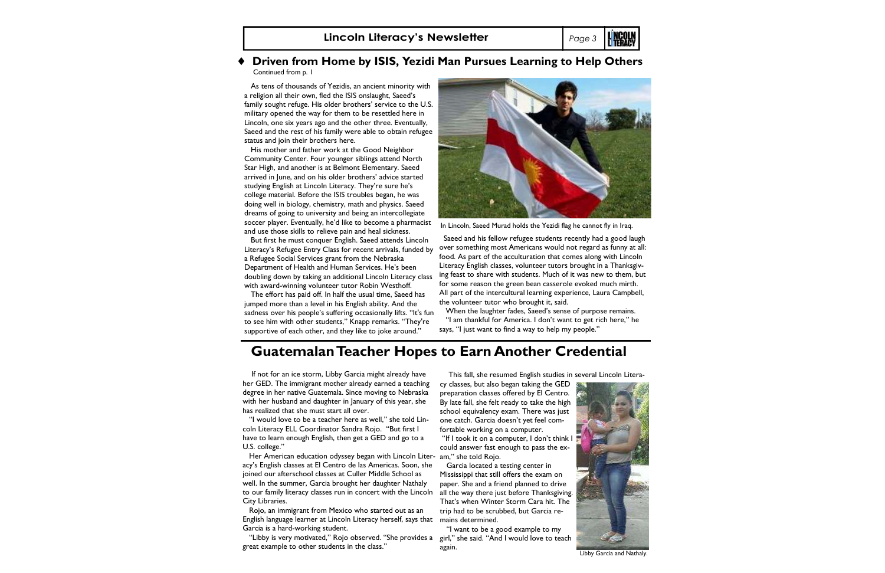### ♦ **Driven from Home by ISIS, Yezidi Man Pursues Learning to Help Others**

Continued from p. 1

 As tens of thousands of Yezidis, an ancient minority with a religion all their own, fled the ISIS onslaught, Saeed's family sought refuge. His older brothers' service to the U.S. military opened the way for them to be resettled here in Lincoln, one six years ago and the other three. Eventually, Saeed and the rest of his family were able to obtain refugee status and join their brothers here.

 His mother and father work at the Good Neighbor Community Center. Four younger siblings attend North Star High, and another is at Belmont Elementary. Saeed arrived in June, and on his older brothers' advice started studying English at Lincoln Literacy. They're sure he's college material. Before the ISIS troubles began, he was doing well in biology, chemistry, math and physics. Saeed dreams of going to university and being an intercollegiate soccer player. Eventually, he'd like to become a pharmacist and use those skills to relieve pain and heal sickness.

 But first he must conquer English. Saeed attends Lincoln Literacy's Refugee Entry Class for recent arrivals, funded by a Refugee Social Services grant from the Nebraska Department of Health and Human Services. He's been doubling down by taking an additional Lincoln Literacy class with award-winning volunteer tutor Robin Westhoff.

 The effort has paid off. In half the usual time, Saeed has jumped more than a level in his English ability. And the sadness over his people's suffering occasionally lifts. "It's fun to see him with other students," Knapp remarks. "They're supportive of each other, and they like to joke around."



**Lincoln Literacy's Newsletter** *Page 3* In Lincoln, Saeed Murad holds the Yezidi flag he cannot fly in Iraq. This fall, she resumed English studies in several Lincoln Literacy classes, but also began taking the GED preparation classes offered by El Centro. By late fall, she felt ready to take the high school equivalency exam. There was just fortable working on a computer. "If I took it on a computer, I don't think I could answer fast enough to pass the ex- Garcia located a testing center in Mississippi that still offers the exam on paper. She and a friend planned to drive That's when Winter Storm Cara hit. The trip had to be scrubbed, but Garcia remains determined. Saeed and his fellow refugee students recently had a good laugh over something most Americans would not regard as funny at all: food. As part of the acculturation that comes along with Lincoln Literacy English classes, volunteer tutors brought in a Thanksgiving feast to share with students. Much of it was new to them, but for some reason the green bean casserole evoked much mirth. All part of the intercultural learning experience, Laura Campbell, the volunteer tutor who brought it, said. When the laughter fades, Saeed's sense of purpose remains. "I am thankful for America. I don't want to get rich here," he says, "I just want to find a way to help my people."



Libby Garcia and Nathaly.

Her American education odyssey began with Lincoln Liter- am," she told Rojo. to our family literacy classes run in concert with the Lincoln  $\,$  all the way there just before Thanksgiving. acy's English classes at El Centro de las Americas. Soon, she joined our afterschool classes at Culler Middle School as well. In the summer, Garcia brought her daughter Nathaly City Libraries.

one catch. Garcia doesn't yet feel com-

"Libby is very motivated," Rojo observed. "She provides a girl," she said. "And I would love to teach great example to other students in the class."

 "I want to be a good example to my again.

 If not for an ice storm, Libby Garcia might already have her GED. The immigrant mother already earned a teaching degree in her native Guatemala. Since moving to Nebraska with her husband and daughter in January of this year, she has realized that she must start all over.

 "I would love to be a teacher here as well," she told Lincoln Literacy ELL Coordinator Sandra Rojo. "But first I have to learn enough English, then get a GED and go to a U.S. college."

 Rojo, an immigrant from Mexico who started out as an English language learner at Lincoln Literacy herself, says that Garcia is a hard-working student.

### **Guatemalan Teacher Hopes to Earn Another Credential**